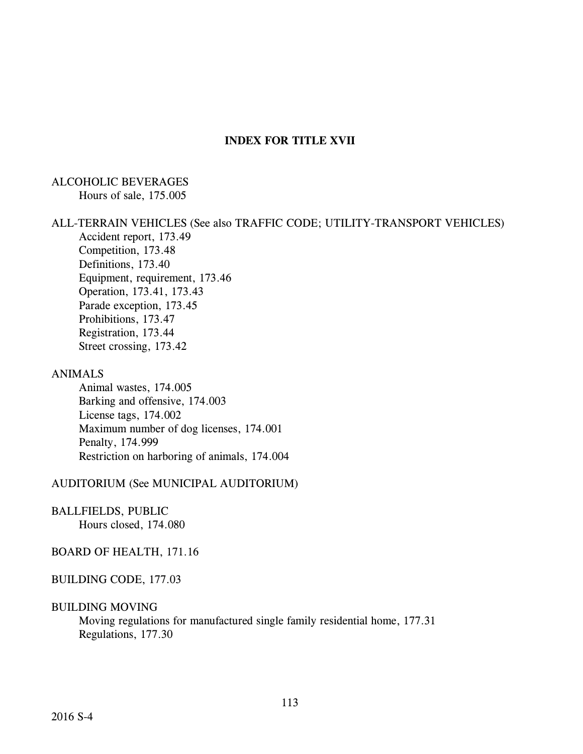## **INDEX FOR TITLE XVII**

#### ALCOHOLIC BEVERAGES Hours of sale, 175.005

#### ALL-TERRAIN VEHICLES (See also TRAFFIC CODE; UTILITY-TRANSPORT VEHICLES)

Accident report, 173.49 Competition, 173.48 Definitions, 173.40 Equipment, requirement, 173.46 Operation, 173.41, 173.43 Parade exception, 173.45 Prohibitions, 173.47 Registration, 173.44 Street crossing, 173.42

### ANIMALS

Animal wastes, 174.005 Barking and offensive, 174.003 License tags, 174.002 Maximum number of dog licenses, 174.001 Penalty, 174.999 Restriction on harboring of animals, 174.004

#### AUDITORIUM (See MUNICIPAL AUDITORIUM)

#### BALLFIELDS, PUBLIC

Hours closed, 174.080

#### BOARD OF HEALTH, 171.16

#### BUILDING CODE, 177.03

#### BUILDING MOVING

Moving regulations for manufactured single family residential home, 177.31 Regulations, 177.30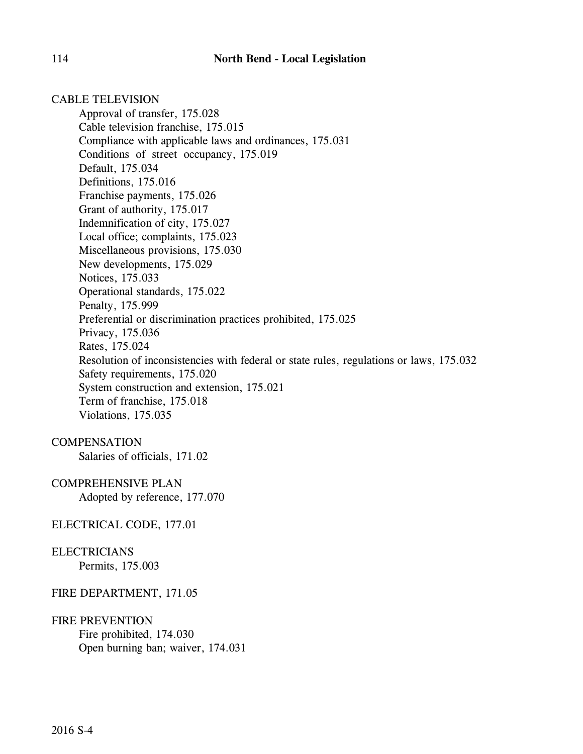CABLE TELEVISION Approval of transfer, 175.028 Cable television franchise, 175.015 Compliance with applicable laws and ordinances, 175.031 Conditions of street occupancy, 175.019 Default, 175.034 Definitions, 175.016 Franchise payments, 175.026 Grant of authority, 175.017 Indemnification of city, 175.027 Local office; complaints, 175.023 Miscellaneous provisions, 175.030 New developments, 175.029 Notices, 175.033 Operational standards, 175.022 Penalty, 175.999 Preferential or discrimination practices prohibited, 175.025 Privacy, 175.036 Rates, 175.024 Resolution of inconsistencies with federal or state rules, regulations or laws, 175.032 Safety requirements, 175.020 System construction and extension, 175.021 Term of franchise, 175.018 Violations, 175.035

# **COMPENSATION**

Salaries of officials, 171.02

## COMPREHENSIVE PLAN

Adopted by reference, 177.070

### ELECTRICAL CODE, 177.01

# ELECTRICIANS

Permits, 175.003

### FIRE DEPARTMENT, 171.05

### FIRE PREVENTION

Fire prohibited, 174.030 Open burning ban; waiver, 174.031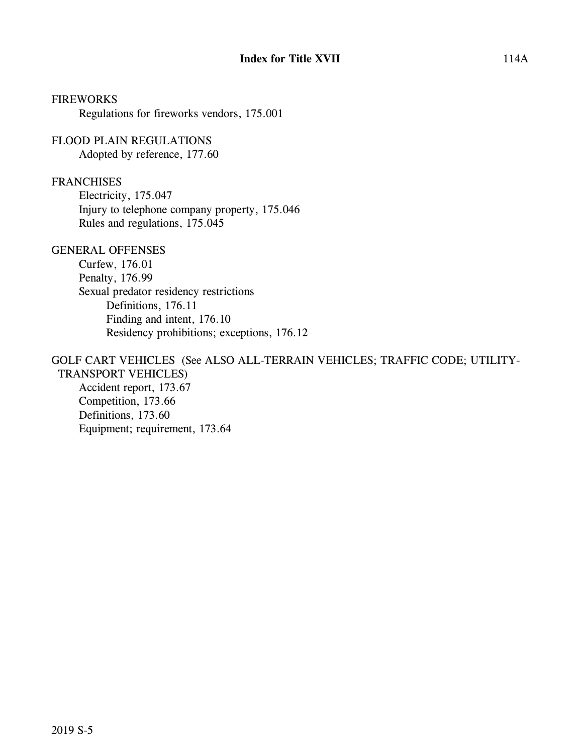FIREWORKS Regulations for fireworks vendors, 175.001

FLOOD PLAIN REGULATIONS Adopted by reference, 177.60

#### FRANCHISES

Electricity, 175.047 Injury to telephone company property, 175.046 Rules and regulations, 175.045

### GENERAL OFFENSES

Curfew, 176.01 Penalty, 176.99 Sexual predator residency restrictions Definitions, 176.11 Finding and intent, 176.10 Residency prohibitions; exceptions, 176.12

#### GOLF CART VEHICLES (See ALSO ALL-TERRAIN VEHICLES; TRAFFIC CODE; UTILITY- TRANSPORT VEHICLES)

Accident report, 173.67 Competition, 173.66 Definitions, 173.60 Equipment; requirement, 173.64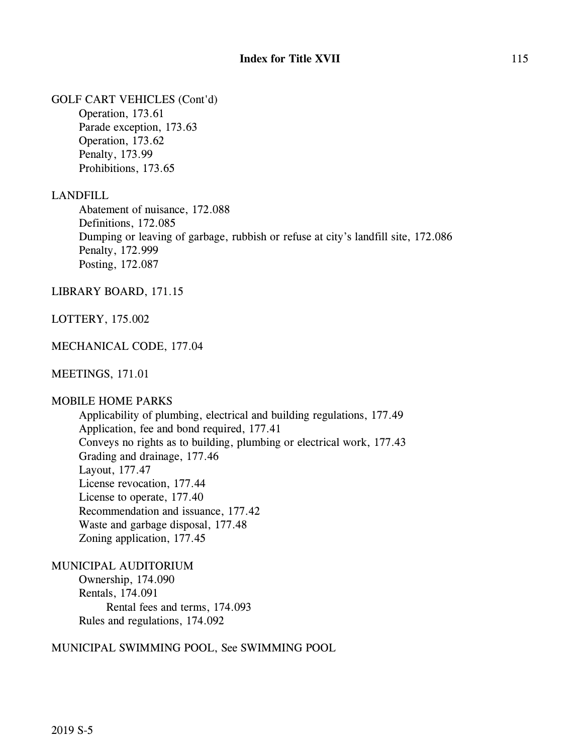GOLF CART VEHICLES (Cont'd)

Operation, 173.61 Parade exception, 173.63 Operation, 173.62 Penalty, 173.99 Prohibitions, 173.65

### LANDFILL

Abatement of nuisance, 172.088 Definitions, 172.085 Dumping or leaving of garbage, rubbish or refuse at city's landfill site, 172.086 Penalty, 172.999 Posting, 172.087

LIBRARY BOARD, 171.15

LOTTERY, 175.002

### MECHANICAL CODE, 177.04

### MEETINGS, 171.01

### MOBILE HOME PARKS

Applicability of plumbing, electrical and building regulations, 177.49 Application, fee and bond required, 177.41 Conveys no rights as to building, plumbing or electrical work, 177.43 Grading and drainage, 177.46 Layout, 177.47 License revocation, 177.44 License to operate, 177.40 Recommendation and issuance, 177.42 Waste and garbage disposal, 177.48 Zoning application, 177.45

MUNICIPAL AUDITORIUM Ownership, 174.090

Rentals, 174.091 Rental fees and terms, 174.093 Rules and regulations, 174.092

### MUNICIPAL SWIMMING POOL, See SWIMMING POOL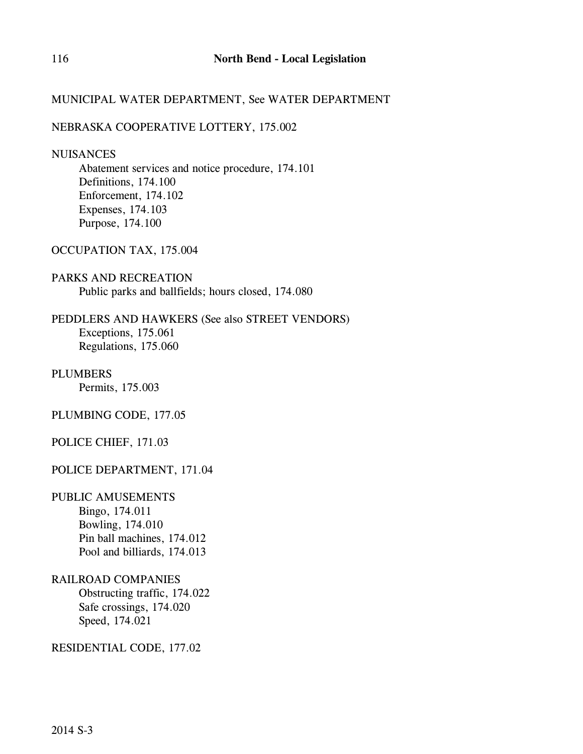# MUNICIPAL WATER DEPARTMENT, See WATER DEPARTMENT

### NEBRASKA COOPERATIVE LOTTERY, 175.002

#### **NUISANCES**

Abatement services and notice procedure, 174.101 Definitions, 174.100 Enforcement, 174.102 Expenses, 174.103 Purpose, 174.100

### OCCUPATION TAX, 175.004

# PARKS AND RECREATION Public parks and ballfields; hours closed, 174.080

# PEDDLERS AND HAWKERS (See also STREET VENDORS) Exceptions, 175.061 Regulations, 175.060

### PLUMBERS Permits, 175.003

# PLUMBING CODE, 177.05

# POLICE CHIEF, 171.03

# POLICE DEPARTMENT, 171.04

# PUBLIC AMUSEMENTS

Bingo, 174.011 Bowling, 174.010 Pin ball machines, 174.012 Pool and billiards, 174.013

### RAILROAD COMPANIES

Obstructing traffic, 174.022 Safe crossings, 174.020 Speed, 174.021

### RESIDENTIAL CODE, 177.02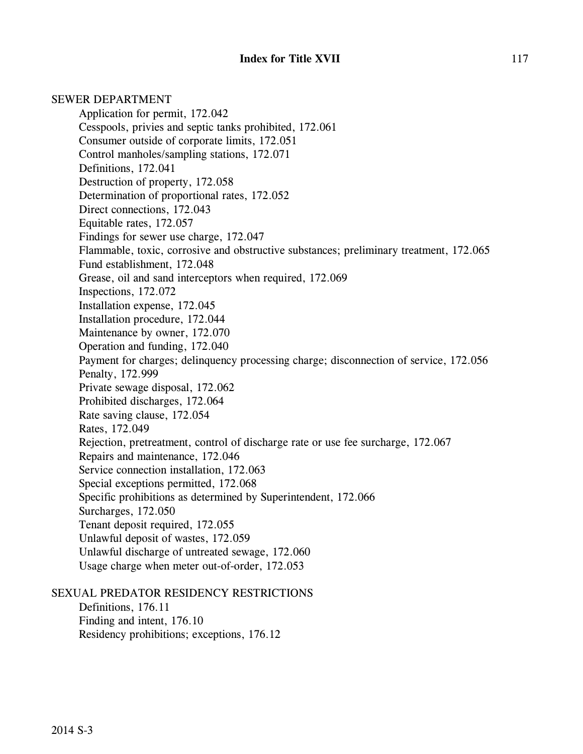SEWER DEPARTMENT Application for permit, 172.042 Cesspools, privies and septic tanks prohibited, 172.061 Consumer outside of corporate limits, 172.051 Control manholes/sampling stations, 172.071 Definitions, 172.041 Destruction of property, 172.058 Determination of proportional rates, 172.052 Direct connections, 172.043 Equitable rates, 172.057 Findings for sewer use charge, 172.047 Flammable, toxic, corrosive and obstructive substances; preliminary treatment, 172.065 Fund establishment, 172.048 Grease, oil and sand interceptors when required, 172.069 Inspections, 172.072 Installation expense, 172.045 Installation procedure, 172.044 Maintenance by owner, 172.070 Operation and funding, 172.040 Payment for charges; delinquency processing charge; disconnection of service, 172.056 Penalty, 172.999 Private sewage disposal, 172.062 Prohibited discharges, 172.064 Rate saving clause, 172.054 Rates, 172.049 Rejection, pretreatment, control of discharge rate or use fee surcharge, 172.067 Repairs and maintenance, 172.046 Service connection installation, 172.063 Special exceptions permitted, 172.068 Specific prohibitions as determined by Superintendent, 172.066 Surcharges, 172.050 Tenant deposit required, 172.055 Unlawful deposit of wastes, 172.059 Unlawful discharge of untreated sewage, 172.060 Usage charge when meter out-of-order, 172.053 SEXUAL PREDATOR RESIDENCY RESTRICTIONS

Definitions, 176.11 Finding and intent, 176.10 Residency prohibitions; exceptions, 176.12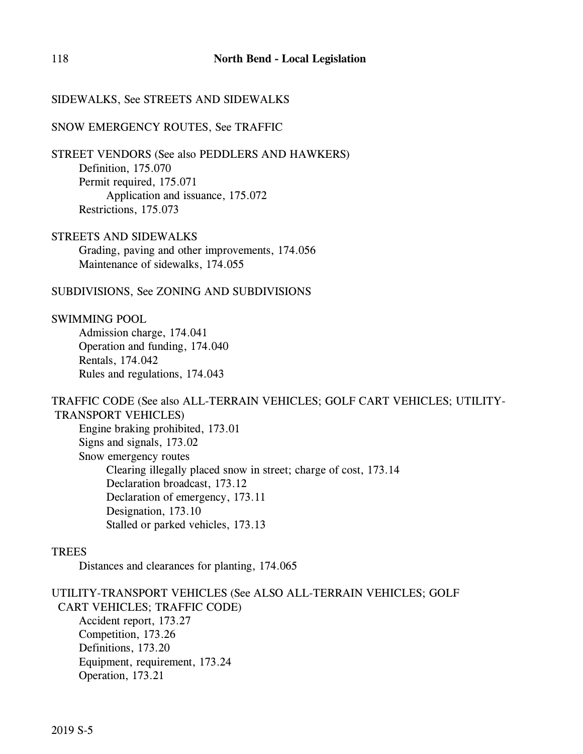### SIDEWALKS, See STREETS AND SIDEWALKS

#### SNOW EMERGENCY ROUTES, See TRAFFIC

STREET VENDORS (See also PEDDLERS AND HAWKERS) Definition, 175.070 Permit required, 175.071 Application and issuance, 175.072 Restrictions, 175.073

STREETS AND SIDEWALKS Grading, paving and other improvements, 174.056 Maintenance of sidewalks, 174.055

SUBDIVISIONS, See ZONING AND SUBDIVISIONS

SWIMMING POOL

Admission charge, 174.041 Operation and funding, 174.040 Rentals, 174.042 Rules and regulations, 174.043

### TRAFFIC CODE (See also ALL-TERRAIN VEHICLES; GOLF CART VEHICLES; UTILITY- TRANSPORT VEHICLES)

Engine braking prohibited, 173.01 Signs and signals, 173.02 Snow emergency routes Clearing illegally placed snow in street; charge of cost, 173.14 Declaration broadcast, 173.12 Declaration of emergency, 173.11 Designation, 173.10 Stalled or parked vehicles, 173.13

### TREES

Distances and clearances for planting, 174.065

UTILITY-TRANSPORT VEHICLES (See ALSO ALL-TERRAIN VEHICLES; GOLF CART VEHICLES; TRAFFIC CODE) Accident report, 173.27 Competition, 173.26 Definitions, 173.20 Equipment, requirement, 173.24 Operation, 173.21